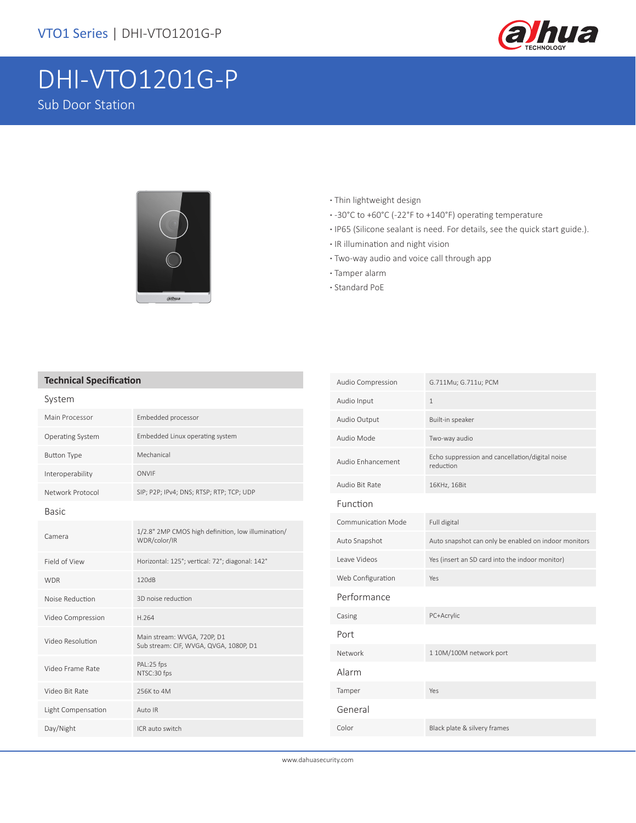

# DHI-VTO1201G-P Sub Door Station



- **·** Thin lightweight design
- **·** -30°C to +60°C (-22°F to +140°F) operating temperature
- **·** IP65 (Silicone sealant is need. For details, see the quick start guide.).
- **·** IR illumination and night vision
- **·** Two-way audio and voice call through app
- **·** Tamper alarm
- **·** Standard PoE

#### **Technical Specification**

| System             |                                                                       |  |
|--------------------|-----------------------------------------------------------------------|--|
| Main Processor     | Embedded processor                                                    |  |
| Operating System   | Embedded Linux operating system                                       |  |
| <b>Button Type</b> | Mechanical                                                            |  |
| Interoperability   | ONVIF                                                                 |  |
| Network Protocol   | SIP; P2P; IPv4; DNS; RTSP; RTP; TCP; UDP                              |  |
| <b>Basic</b>       |                                                                       |  |
| Camera             | 1/2.8" 2MP CMOS high definition, low illumination/<br>WDR/color/IR    |  |
| Field of View      | Horizontal: 125°; vertical: 72°; diagonal: 142°                       |  |
| <b>WDR</b>         | 120dB                                                                 |  |
| Noise Reduction    | 3D noise reduction                                                    |  |
| Video Compression  | H.264                                                                 |  |
| Video Resolution   | Main stream: WVGA, 720P, D1<br>Sub stream: CIF, WVGA, QVGA, 1080P, D1 |  |
| Video Frame Rate   | PAL:25 fps<br>NTSC:30 fps                                             |  |
| Video Bit Rate     | 256K to 4M                                                            |  |
| Light Compensation | Auto IR                                                               |  |
| Day/Night          | ICR auto switch                                                       |  |

| Audio Compression         | G.711Mu; G.711u; PCM                                         |
|---------------------------|--------------------------------------------------------------|
| Audio Input               | $\mathbf{1}$                                                 |
| Audio Output              | Built-in speaker                                             |
| Audio Mode                | Two-way audio                                                |
| Audio Enhancement         | Echo suppression and cancellation/digital noise<br>reduction |
| Audio Bit Rate            | 16KHz, 16Bit                                                 |
| Function                  |                                                              |
| <b>Communication Mode</b> | Full digital                                                 |
| Auto Snapshot             | Auto snapshot can only be enabled on indoor monitors         |
| Leave Videos              | Yes (insert an SD card into the indoor monitor)              |
| Web Configuration         | Yes                                                          |
| Performance               |                                                              |
| Casing                    | PC+Acrylic                                                   |
| Port                      |                                                              |
| Network                   | 1 10M/100M network port                                      |
| Alarm                     |                                                              |
| Tamper                    | Yes                                                          |
| General                   |                                                              |
| Color                     | Black plate & silvery frames                                 |
|                           |                                                              |